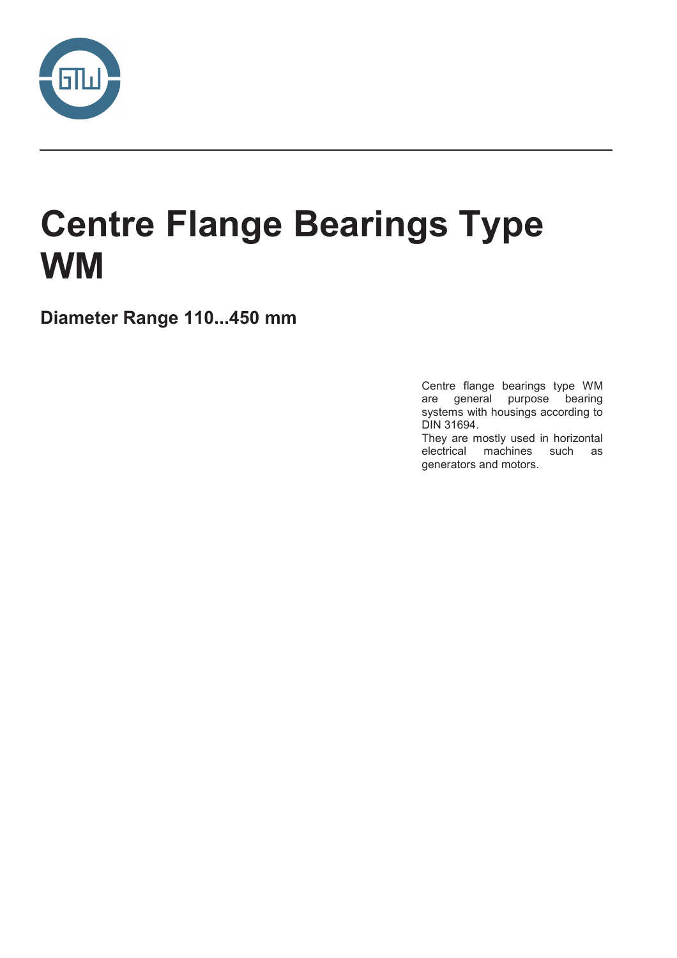

# **Centre Flange Bearings Type WM**

Diameter Range 110...450 mm

Centre flange bearings type WM are general purpose bearing systems with housings according to DIN 31694.

They are mostly used in horizontal electrical machines such as generators and motors.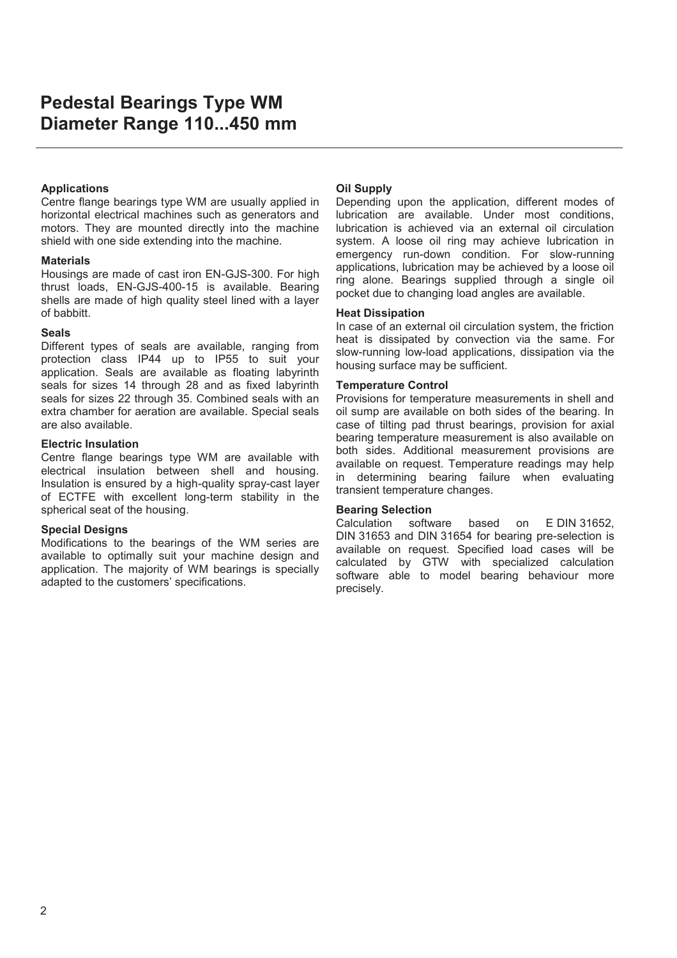#### **Applications**

Centre flange bearings type WM are usually applied in horizontal electrical machines such as generators and motors. They are mounted directly into the machine shield with one side extending into the machine.

#### **Materials**

Housings are made of cast iron EN-GJS-300. For high thrust loads, EN-GJS-400-15 is available. Bearing shells are made of high quality steel lined with a layer of babbitt.

#### **Seals**

Different types of seals are available, ranging from protection class IP44 up to IP55 to suit your application. Seals are available as floating labyrinth seals for sizes 14 through 28 and as fixed labyrinth seals for sizes 22 through 35. Combined seals with an extra chamber for aeration are available. Special seals are also available.

#### **Electric Insulation**

Centre flange bearings type WM are available with electrical insulation between shell and housing. Insulation is ensured by a high-quality spray-cast layer of ECTFE with excellent long-term stability in the spherical seat of the housing.

#### **Special Designs**

Modifications to the bearings of the WM series are available to optimally suit your machine design and application. The majority of WM bearings is specially adapted to the customers' specifications.

#### **2Dil Supply**

Depending upon the application, different modes of lubrication are available. Under most conditions, lubrication is achieved via an external oil circulation system. A loose oil ring may achieve lubrication in emergency run-down condition. For slow-running applications, lubrication may be achieved by a loose oil ring alone. Bearings supplied through a single oil pocket due to changing load angles are available.

#### **Heat Dissipation**

In case of an external oil circulation system, the friction heat is dissipated by convection via the same. For slow-running low-load applications, dissipation via the housing surface may be sufficient.

#### **Temperature Control**

Provisions for temperature measurements in shell and oil sump are available on both sides of the bearing. In case of tilting pad thrust bearings, provision for axial bearing temperature measurement is also available on both sides. Additional measurement provisions are available on request. Temperature readings may help in determining bearing failure when evaluating transient temperature changes.

#### **Bearing Selection**

Calculation software based on E DIN 31652, DIN 31653 and DIN 31654 for bearing pre-selection is available on request. Specified load cases will be calculated by GTW with specialized calculation software able to model bearing behaviour more precisely.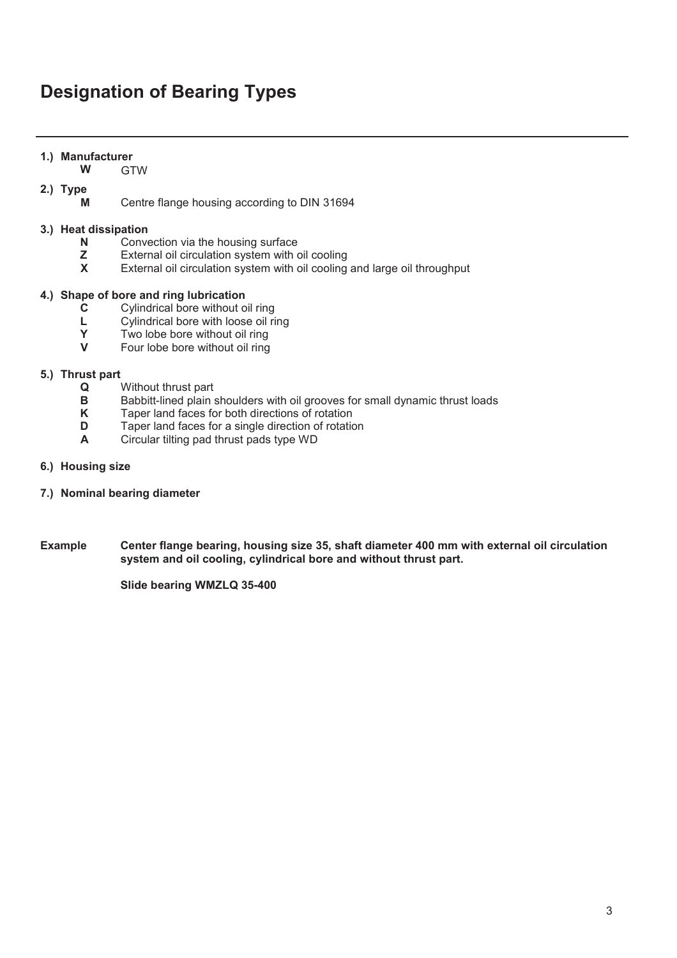## **Designation of Bearing Types**

#### 1.) Manufacturer

**: GTW** 

#### 2.) Type

**M** Centre flange housing according to DIN 31694

#### 3.) Heat dissipation

- **1** Convection via the housing surface<br>**2** External oil circulation system with only
- **z** External oil circulation system with oil cooling<br>**X** External oil circulation system with oil cooling
- **External oil circulation system with oil cooling and large oil throughput**

#### 4.) Shape of bore and ring lubrication

- **C** Cylindrical bore without oil ring<br> **L** Cylindrical bore with loose oil ri
- **L** Cylindrical bore with loose oil ring<br>**Y** Two lobe bore without oil ring
- **Y** Two lobe bore without oil ring<br>**V** Four lobe bore without oil ring
- **9** Four lobe bore without oil ring

#### 5.) Thrust part

- **4** Without thrust part<br>**B** Babbitt-lined plain
- **B** Babbitt-lined plain shoulders with oil grooves for small dynamic thrust loads<br>**K** Taper land faces for both directions of rotation
- **K** Taper land faces for both directions of rotation<br> **D** Taper land faces for a single direction of rotation
- **D** Taper land faces for a single direction of rotation<br> **A** Circular tilting pad thrust pads type WD
- **\$** Circular tilting pad thrust pads type WD
- 6.) Housing size
- 7.) Nominal bearing diameter
- **Example** Center flange bearing, housing size 35, shaft diameter 400 mm with external oil circulation system and oil cooling, cylindrical bore and without thrust part.

**Slide bearing WMZLQ 35-400**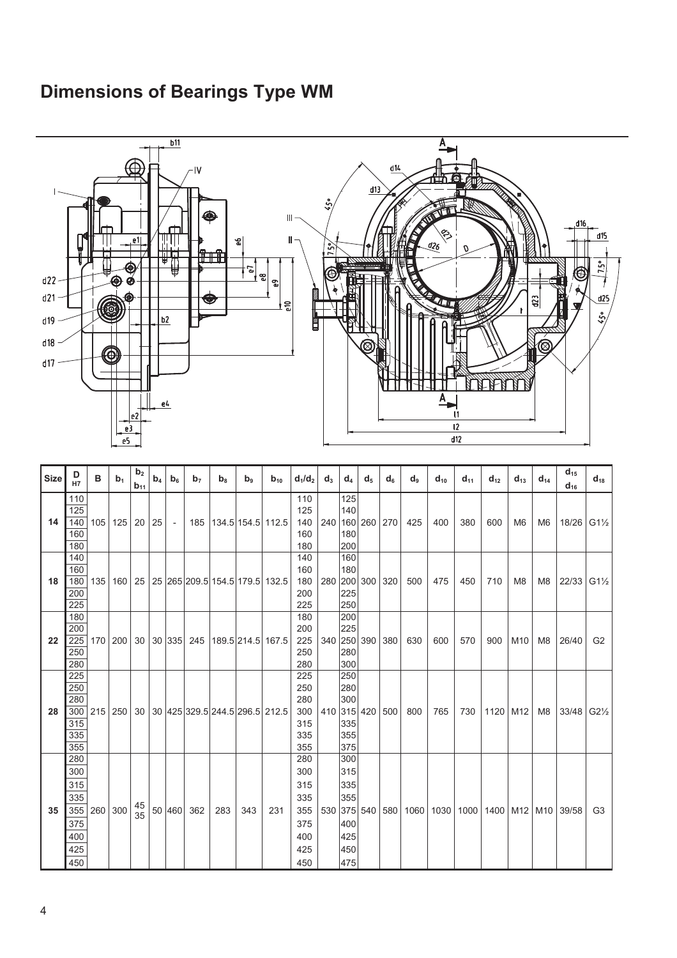### **Dimensions of Bearings Type WM**

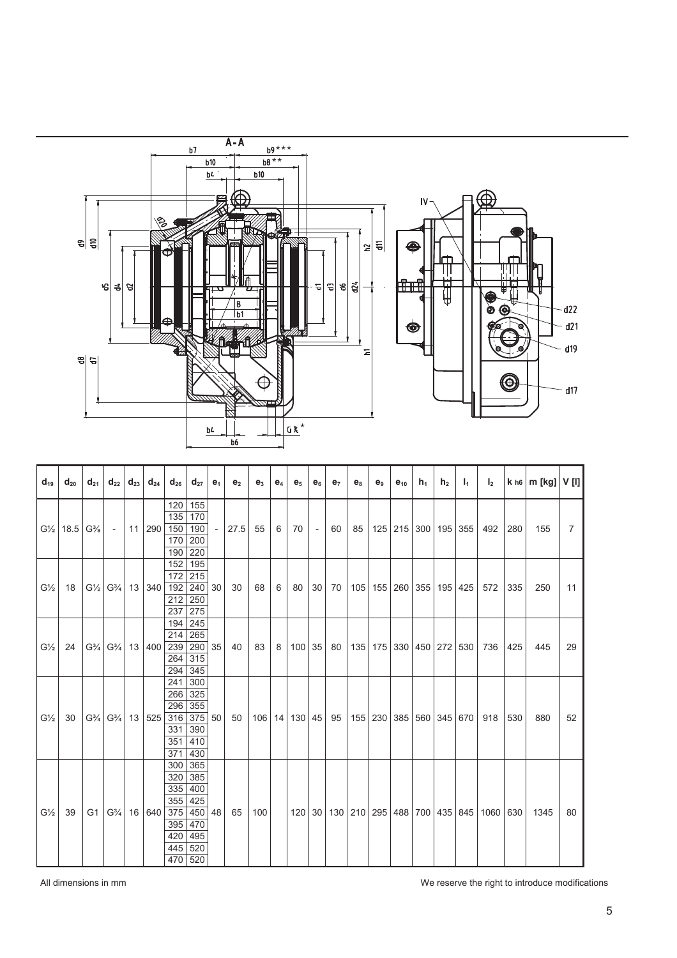

| $d_{19}$       | $d_{20}$            | $d_{21}$                      | $d_{22}   d_{23}  $ |    |                                          | $d_{24}$   $d_{26}$ | $d_{27}$   | $e_1$  | e <sub>2</sub> | e <sub>3</sub> | $e_4$ | e <sub>5</sub> | $e_6$  | e <sub>7</sub>   | $e_8$                                       | e <sub>9</sub> | $e_{10}$                                           | $h_1$                             | h <sub>2</sub> | $I_1$ | I <sub>2</sub> |     |      |                |
|----------------|---------------------|-------------------------------|---------------------|----|------------------------------------------|---------------------|------------|--------|----------------|----------------|-------|----------------|--------|------------------|---------------------------------------------|----------------|----------------------------------------------------|-----------------------------------|----------------|-------|----------------|-----|------|----------------|
|                | $G\frac{1}{2}$ 18.5 | $G\%$ -                       |                     | 11 | 290 150                                  | 120<br>135          | 155<br>170 |        | 27.5           | 55             | 6     | 70             | $\sim$ | 60               |                                             |                |                                                    | 85   125   215   300   195   355  |                |       | 492            | 280 | 155  | $\overline{7}$ |
|                |                     |                               |                     |    |                                          |                     | 190        |        |                |                |       |                |        |                  |                                             |                |                                                    |                                   |                |       |                |     |      |                |
|                |                     |                               |                     |    |                                          | 170                 | 200        |        |                |                |       |                |        |                  |                                             |                |                                                    |                                   |                |       |                |     |      |                |
|                |                     |                               |                     |    |                                          | 190                 | 220        |        |                |                |       |                |        |                  |                                             |                |                                                    |                                   |                |       |                |     |      |                |
| $G\frac{1}{2}$ | 18                  |                               |                     |    | $G\frac{1}{2}$ $G\frac{3}{4}$ 13 340 192 | 152                 | 195        |        |                |                |       |                |        |                  | 30   70   105   155   260   355   195   425 |                |                                                    |                                   |                |       | 572            | 335 | 250  | 11             |
|                |                     |                               |                     |    |                                          | 172                 | 215        |        |                |                | 6     | 80             |        |                  |                                             |                |                                                    |                                   |                |       |                |     |      |                |
|                |                     |                               |                     |    |                                          |                     | $240$ 30   |        | 30             | 68             |       |                |        |                  |                                             |                |                                                    |                                   |                |       |                |     |      |                |
|                |                     |                               |                     |    |                                          | 212                 | 250        |        |                |                |       |                |        |                  |                                             |                |                                                    |                                   |                |       |                |     |      |                |
|                |                     |                               |                     |    |                                          | 237                 | 275        |        |                |                |       |                |        |                  |                                             |                |                                                    |                                   |                |       |                |     |      |                |
| $G\frac{1}{2}$ | 24                  | $G\frac{3}{4}$ $G\frac{3}{4}$ |                     |    | 13 400 239                               | 194                 | 245        |        | 40             | 83             | 8     |                |        | $100$ 35 80      |                                             |                |                                                    | 135   175   330   450   272   530 |                |       |                | 425 | 445  |                |
|                |                     |                               |                     |    |                                          | 214                 | 265        |        |                |                |       |                |        |                  |                                             |                |                                                    |                                   |                |       |                |     |      |                |
|                |                     |                               |                     |    |                                          |                     | 290 35     |        |                |                |       |                |        |                  |                                             |                |                                                    |                                   |                |       | 736            |     |      | 29             |
|                |                     |                               |                     |    |                                          | 264                 | 315        |        |                |                |       |                |        |                  |                                             |                |                                                    |                                   |                |       |                |     |      |                |
|                |                     |                               |                     |    |                                          | 294                 | 345        |        |                |                |       |                |        |                  |                                             |                |                                                    |                                   |                |       |                |     |      |                |
| $G\frac{1}{2}$ | 30                  | $G\frac{3}{4}$ $G\frac{3}{4}$ |                     |    | 13 525                                   | 241                 | 300        | 375 50 | 50             |                |       |                |        | 106 14 130 45 95 |                                             |                |                                                    | 155 230 385 560 345 670           |                |       | 918            | 530 | 880  | 52             |
|                |                     |                               |                     |    |                                          | 266<br>296          | 325<br>355 |        |                |                |       |                |        |                  |                                             |                |                                                    |                                   |                |       |                |     |      |                |
|                |                     |                               |                     |    |                                          | 316                 |            |        |                |                |       |                |        |                  |                                             |                |                                                    |                                   |                |       |                |     |      |                |
|                |                     |                               |                     |    |                                          | 331                 | 390        |        |                |                |       |                |        |                  |                                             |                |                                                    |                                   |                |       |                |     |      |                |
|                |                     |                               |                     |    |                                          | 351                 | 410        |        |                |                |       |                |        |                  |                                             |                |                                                    |                                   |                |       |                |     |      |                |
|                |                     |                               |                     |    |                                          | 371                 | 430        |        |                |                |       |                |        |                  |                                             |                |                                                    |                                   |                |       |                |     |      |                |
| $G\frac{1}{2}$ | 39                  |                               |                     |    | 16 640                                   | 300                 | 365        |        |                |                |       |                |        |                  |                                             |                |                                                    |                                   |                |       |                |     |      |                |
|                |                     |                               |                     |    |                                          | 320                 | 385        |        | 65             | 100            |       |                |        |                  |                                             |                |                                                    |                                   |                |       |                |     |      |                |
|                |                     |                               |                     |    |                                          | 335                 | 400        |        |                |                |       |                |        |                  |                                             |                |                                                    |                                   |                |       |                |     |      |                |
|                |                     |                               |                     |    |                                          | 355                 | 425        |        |                |                |       |                |        |                  |                                             |                | 120   30   130   210   295   488   700   435   845 |                                   |                |       |                |     |      | 80             |
|                |                     |                               | $G1 G\frac{3}{4} $  |    |                                          | 375                 | 450 48     |        |                |                |       |                |        |                  |                                             |                |                                                    |                                   |                |       | 1060 630       |     | 1345 |                |
|                |                     |                               |                     |    |                                          | 395                 | 470        |        |                |                |       |                |        |                  |                                             |                |                                                    |                                   |                |       |                |     |      |                |
|                |                     |                               |                     |    |                                          | 420                 | 495        |        |                |                |       |                |        |                  |                                             |                |                                                    |                                   |                |       |                |     |      |                |
|                |                     |                               |                     |    |                                          | 445                 | 520        |        |                |                |       |                |        |                  |                                             |                |                                                    |                                   |                |       |                |     |      |                |
|                |                     |                               |                     |    |                                          | 470                 | 520        |        |                |                |       |                |        |                  |                                             |                |                                                    |                                   |                |       |                |     |      |                |

 $\mathsf{l}$ 

All dimensions in mm **Mature 10** and the right to introduce modifications of the right to introduce modifications